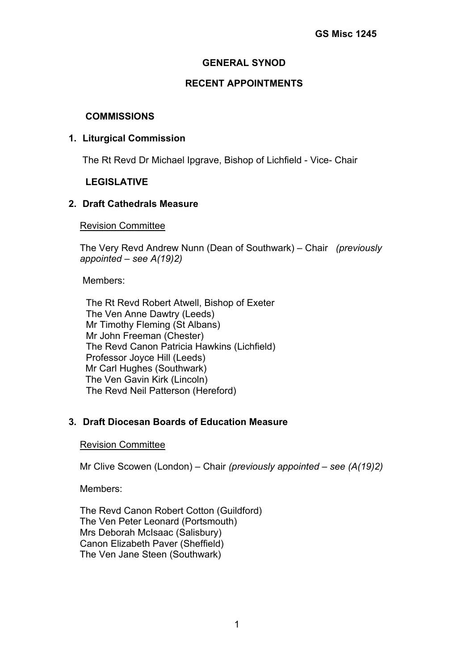## **GENERAL SYNOD**

### **RECENT APPOINTMENTS**

#### **COMMISSIONS**

#### **1. Liturgical Commission**

The Rt Revd Dr Michael Ipgrave, Bishop of Lichfield - Vice- Chair

## **LEGISLATIVE**

#### **2. Draft Cathedrals Measure**

Revision Committee

The Very Revd Andrew Nunn (Dean of Southwark) – Chair *(previously appointed – see A(19)2)*

Members:

The Rt Revd Robert Atwell, Bishop of Exeter The Ven Anne Dawtry (Leeds) Mr Timothy Fleming (St Albans) Mr John Freeman (Chester) The Revd Canon Patricia Hawkins (Lichfield) Professor Joyce Hill (Leeds) Mr Carl Hughes (Southwark) The Ven Gavin Kirk (Lincoln) The Revd Neil Patterson (Hereford)

## **3. Draft Diocesan Boards of Education Measure**

Revision Committee

Mr Clive Scowen (London) – Chair *(previously appointed – see (A(19)2)*

Members:

The Revd Canon Robert Cotton (Guildford) The Ven Peter Leonard (Portsmouth) Mrs Deborah McIsaac (Salisbury) Canon Elizabeth Paver (Sheffield) The Ven Jane Steen (Southwark)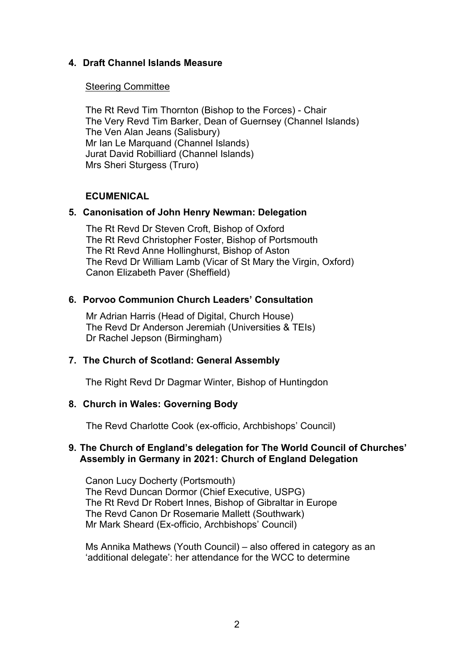## **4. Draft Channel Islands Measure**

#### Steering Committee

The Rt Revd Tim Thornton (Bishop to the Forces) - Chair The Very Revd Tim Barker, Dean of Guernsey (Channel Islands) The Ven Alan Jeans (Salisbury) Mr Ian Le Marquand (Channel Islands) Jurat David Robilliard (Channel Islands) Mrs Sheri Sturgess (Truro)

#### **ECUMENICAL**

#### **5. Canonisation of John Henry Newman: Delegation**

 The Rt Revd Dr Steven Croft, Bishop of Oxford The Rt Revd Christopher Foster, Bishop of Portsmouth The Rt Revd Anne Hollinghurst, Bishop of Aston The Revd Dr William Lamb (Vicar of St Mary the Virgin, Oxford) Canon Elizabeth Paver (Sheffield)

#### **6. Porvoo Communion Church Leaders' Consultation**

 Mr Adrian Harris (Head of Digital, Church House) The Revd Dr Anderson Jeremiah (Universities & TEIs) Dr Rachel Jepson (Birmingham)

## **7. The Church of Scotland: General Assembly**

The Right Revd Dr Dagmar Winter, Bishop of Huntingdon

#### **8. Church in Wales: Governing Body**

The Revd Charlotte Cook (ex-officio, Archbishops' Council)

#### **9. The Church of England's delegation for The World Council of Churches' Assembly in Germany in 2021: Church of England Delegation**

Canon Lucy Docherty (Portsmouth) The Revd Duncan Dormor (Chief Executive, USPG) The Rt Revd Dr Robert Innes, Bishop of Gibraltar in Europe The Revd Canon Dr Rosemarie Mallett (Southwark) Mr Mark Sheard (Ex-officio, Archbishops' Council)

Ms Annika Mathews (Youth Council) – also offered in category as an 'additional delegate': her attendance for the WCC to determine